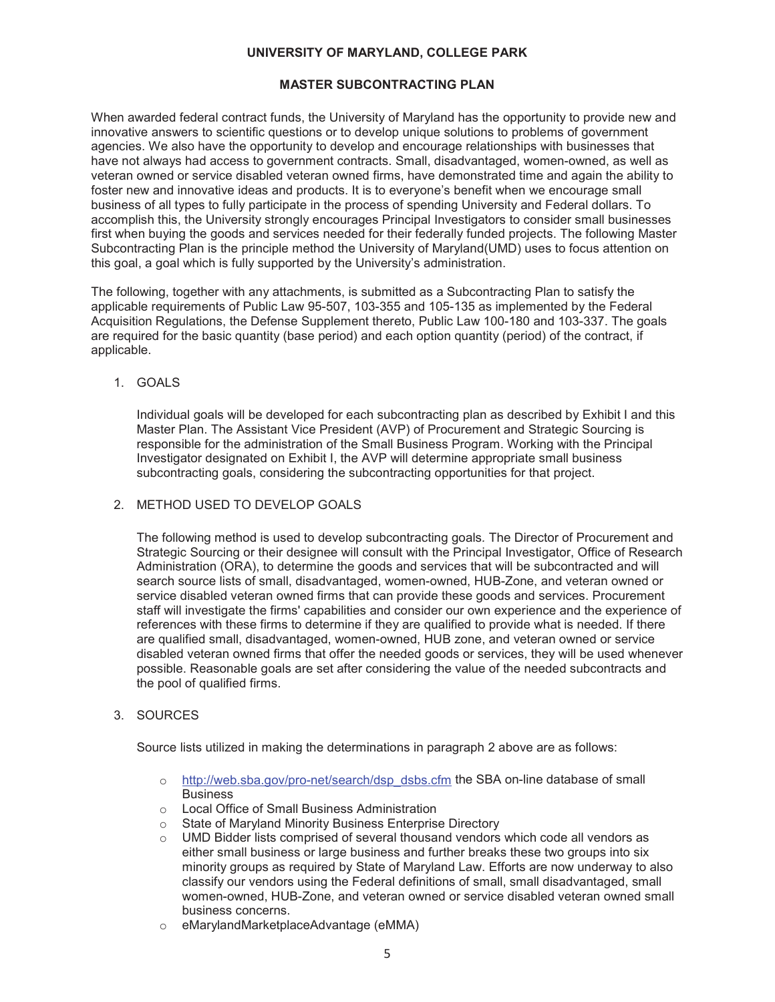# **MASTER SUBCONTRACTING PLAN**

When awarded federal contract funds, the University of Maryland has the opportunity to provide new and innovative answers to scientific questions or to develop unique solutions to problems of government agencies. We also have the opportunity to develop and encourage relationships with businesses that have not always had access to government contracts. Small, disadvantaged, women-owned, as well as veteran owned or service disabled veteran owned firms, have demonstrated time and again the ability to foster new and innovative ideas and products. It is to everyone's benefit when we encourage small business of all types to fully participate in the process of spending University and Federal dollars. To accomplish this, the University strongly encourages Principal Investigators to consider small businesses first when buying the goods and services needed for their federally funded projects. The following Master Subcontracting Plan is the principle method the University of Maryland(UMD) uses to focus attention on this goal, a goal which is fully supported by the University's administration.

The following, together with any attachments, is submitted as a Subcontracting Plan to satisfy the applicable requirements of Public Law 95-507, 103-355 and 105-135 as implemented by the Federal Acquisition Regulations, the Defense Supplement thereto, Public Law 100-180 and 103-337. The goals are required for the basic quantity (base period) and each option quantity (period) of the contract, if applicable.

## 1. GOALS

Individual goals will be developed for each subcontracting plan as described by Exhibit I and this Master Plan. The Assistant Vice President (AVP) of Procurement and Strategic Sourcing is responsible for the administration of the Small Business Program. Working with the Principal Investigator designated on Exhibit I, the AVP will determine appropriate small business subcontracting goals, considering the subcontracting opportunities for that project.

#### 2. METHOD USED TO DEVELOP GOALS

The following method is used to develop subcontracting goals*.* The Director of Procurement and Strategic Sourcing or their designee will consult with the Principal Investigator, Office of Research Administration (ORA), to determine the goods and services that will be subcontracted and will search source lists of small, disadvantaged, women-owned, HUB-Zone, and veteran owned or service disabled veteran owned firms that can provide these goods and services. Procurement staff will investigate the firms' capabilities and consider our own experience and the experience of references with these firms to determine if they are qualified to provide what is needed. If there are qualified small, disadvantaged, women-owned, HUB zone, and veteran owned or service disabled veteran owned firms that offer the needed goods or services, they will be used whenever possible. Reasonable goals are set after considering the value of the needed subcontracts and the pool of qualified firms.

#### 3. SOURCES

Source lists utilized in making the determinations in paragraph 2 above are as follows:

- o http://web.sba.gov/pro-net/search/dsp\_dsbs.cfm the SBA on-line database of small **Business**
- o Local Office of Small Business Administration
- o State of Maryland Minority Business Enterprise Directory
- $\circ$  UMD Bidder lists comprised of several thousand vendors which code all vendors as either small business or large business and further breaks these two groups into six minority groups as required by State of Maryland Law. Efforts are now underway to also classify our vendors using the Federal definitions of small, small disadvantaged, small women-owned, HUB-Zone, and veteran owned or service disabled veteran owned small business concerns.
- o eMarylandMarketplaceAdvantage (eMMA)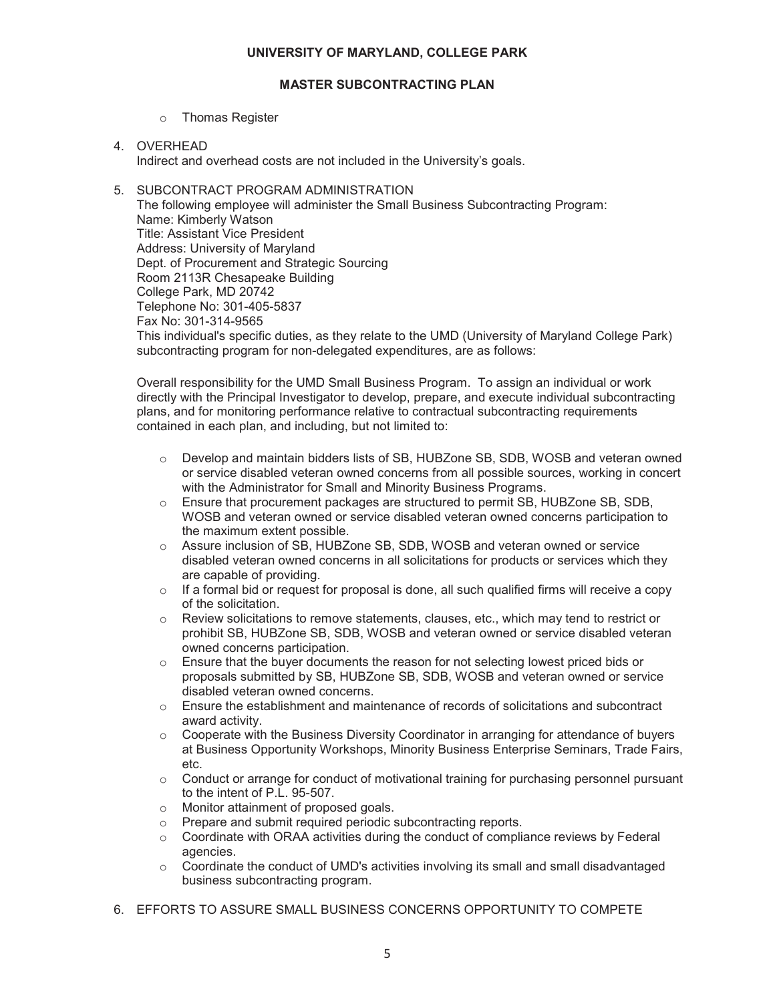## **MASTER SUBCONTRACTING PLAN**

- o Thomas Register
- 4. OVERHEAD

Indirect and overhead costs are not included in the University's goals.

# 5. SUBCONTRACT PROGRAM ADMINISTRATION

The following employee will administer the Small Business Subcontracting Program: Name: Kimberly Watson Title: Assistant Vice President Address: University of Maryland Dept. of Procurement and Strategic Sourcing Room 2113R Chesapeake Building College Park, MD 20742 Telephone No: 301-405-5837 Fax No: 301-314-9565 This individual's specific duties, as they relate to the UMD (University of Maryland College Park) subcontracting program for non-delegated expenditures, are as follows:

Overall responsibility for the UMD Small Business Program. To assign an individual or work directly with the Principal Investigator to develop, prepare, and execute individual subcontracting plans, and for monitoring performance relative to contractual subcontracting requirements contained in each plan, and including, but not limited to:

- o Develop and maintain bidders lists of SB, HUBZone SB, SDB, WOSB and veteran owned or service disabled veteran owned concerns from all possible sources, working in concert with the Administrator for Small and Minority Business Programs.
- $\circ$  Ensure that procurement packages are structured to permit SB, HUBZone SB, SDB, WOSB and veteran owned or service disabled veteran owned concerns participation to the maximum extent possible.
- o Assure inclusion of SB, HUBZone SB, SDB, WOSB and veteran owned or service disabled veteran owned concerns in all solicitations for products or services which they are capable of providing.
- $\circ$  If a formal bid or request for proposal is done, all such qualified firms will receive a copy of the solicitation.
- $\circ$  Review solicitations to remove statements, clauses, etc., which may tend to restrict or prohibit SB, HUBZone SB, SDB, WOSB and veteran owned or service disabled veteran owned concerns participation.
- $\circ$  Ensure that the buyer documents the reason for not selecting lowest priced bids or proposals submitted by SB, HUBZone SB, SDB, WOSB and veteran owned or service disabled veteran owned concerns.
- o Ensure the establishment and maintenance of records of solicitations and subcontract award activity.
- $\circ$  Cooperate with the Business Diversity Coordinator in arranging for attendance of buyers at Business Opportunity Workshops, Minority Business Enterprise Seminars, Trade Fairs, etc.
- $\circ$  Conduct or arrange for conduct of motivational training for purchasing personnel pursuant to the intent of P.L. 95-507.
- o Monitor attainment of proposed goals.
- o Prepare and submit required periodic subcontracting reports.
- $\circ$  Coordinate with ORAA activities during the conduct of compliance reviews by Federal agencies.
- $\circ$  Coordinate the conduct of UMD's activities involving its small and small disadvantaged business subcontracting program.
- 6. EFFORTS TO ASSURE SMALL BUSINESS CONCERNS OPPORTUNITY TO COMPETE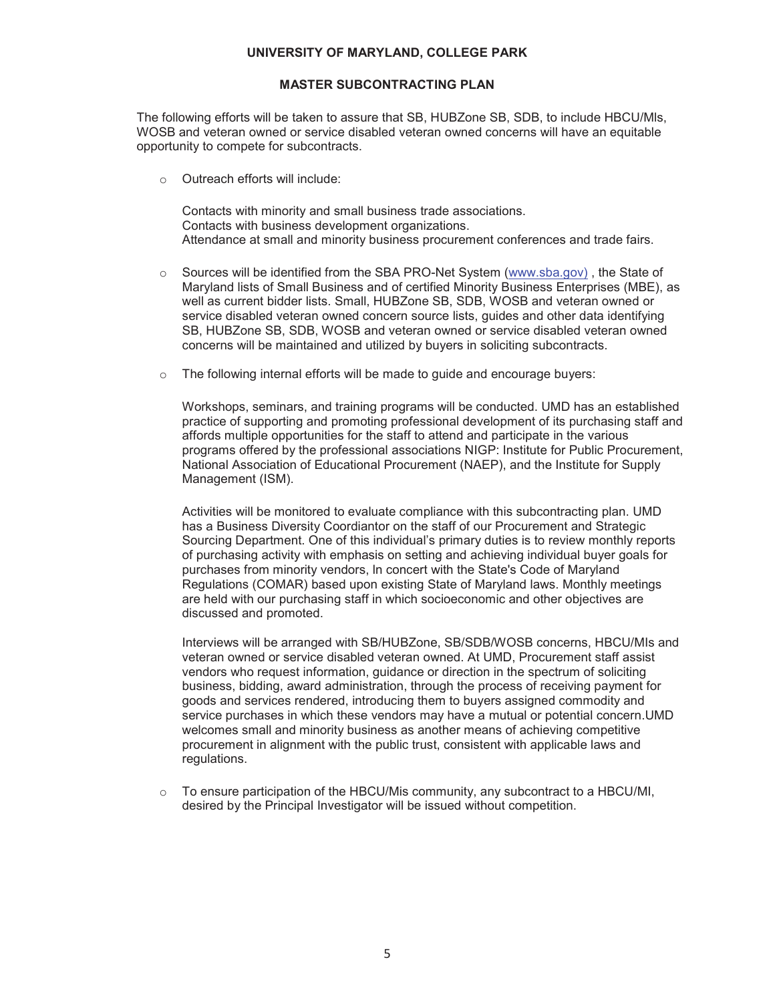### **MASTER SUBCONTRACTING PLAN**

The following efforts will be taken to assure that SB, HUBZone SB, SDB, to include HBCU/Mls, WOSB and veteran owned or service disabled veteran owned concerns will have an equitable opportunity to compete for subcontracts.

o Outreach efforts will include:

Contacts with minority and small business trade associations. Contacts with business development organizations. Attendance at small and minority business procurement conferences and trade fairs.

- o Sources will be identified from the SBA PRO-Net System (www.sba.gov) , the State of Maryland lists of Small Business and of certified Minority Business Enterprises (MBE), as well as current bidder lists. Small, HUBZone SB, SDB, WOSB and veteran owned or service disabled veteran owned concern source lists, guides and other data identifying SB, HUBZone SB, SDB, WOSB and veteran owned or service disabled veteran owned concerns will be maintained and utilized by buyers in soliciting subcontracts.
- o The following internal efforts will be made to guide and encourage buyers:

Workshops, seminars, and training programs will be conducted. UMD has an established practice of supporting and promoting professional development of its purchasing staff and affords multiple opportunities for the staff to attend and participate in the various programs offered by the professional associations NIGP: Institute for Public Procurement, National Association of Educational Procurement (NAEP), and the Institute for Supply Management (ISM).

Activities will be monitored to evaluate compliance with this subcontracting plan. UMD has a Business Diversity Coordiantor on the staff of our Procurement and Strategic Sourcing Department. One of this individual's primary duties is to review monthly reports of purchasing activity with emphasis on setting and achieving individual buyer goals for purchases from minority vendors, ln concert with the State's Code of Maryland Regulations (COMAR) based upon existing State of Maryland laws. Monthly meetings are held with our purchasing staff in which socioeconomic and other objectives are discussed and promoted.

Interviews will be arranged with SB/HUBZone, SB/SDB/WOSB concerns, HBCU/MIs and veteran owned or service disabled veteran owned. At UMD, Procurement staff assist vendors who request information, guidance or direction in the spectrum of soliciting business, bidding, award administration, through the process of receiving payment for goods and services rendered, introducing them to buyers assigned commodity and service purchases in which these vendors may have a mutual or potential concern.UMD welcomes small and minority business as another means of achieving competitive procurement in alignment with the public trust, consistent with applicable laws and regulations.

 $\circ$  To ensure participation of the HBCU/Mis community, any subcontract to a HBCU/MI, desired by the Principal Investigator will be issued without competition.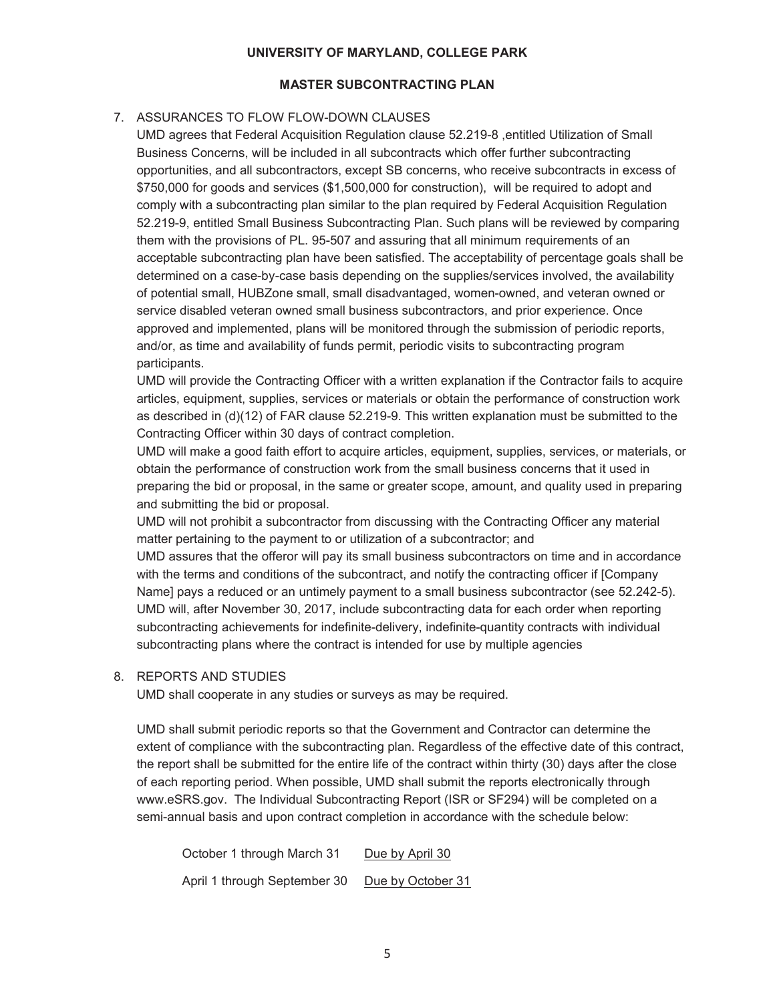## **MASTER SUBCONTRACTING PLAN**

# 7. ASSURANCES TO FLOW FLOW-DOWN CLAUSES

UMD agrees that Federal Acquisition Regulation clause 52.219-8 ,entitled Utilization of Small Business Concerns, will be included in all subcontracts which offer further subcontracting opportunities, and all subcontractors, except SB concerns, who receive subcontracts in excess of \$750,000 for goods and services (\$1,500,000 for construction), will be required to adopt and comply with a subcontracting plan similar to the plan required by Federal Acquisition Regulation 52.219-9, entitled Small Business Subcontracting Plan. Such plans will be reviewed by comparing them with the provisions of PL. 95-507 and assuring that all minimum requirements of an acceptable subcontracting plan have been satisfied. The acceptability of percentage goals shall be determined on a case-by-case basis depending on the supplies/services involved, the availability of potential small, HUBZone small, small disadvantaged, women-owned, and veteran owned or service disabled veteran owned small business subcontractors, and prior experience. Once approved and implemented, plans will be monitored through the submission of periodic reports, and/or, as time and availability of funds permit, periodic visits to subcontracting program participants.

UMD will provide the Contracting Officer with a written explanation if the Contractor fails to acquire articles, equipment, supplies, services or materials or obtain the performance of construction work as described in (d)(12) of FAR clause 52.219-9. This written explanation must be submitted to the Contracting Officer within 30 days of contract completion.

UMD will make a good faith effort to acquire articles, equipment, supplies, services, or materials, or obtain the performance of construction work from the small business concerns that it used in preparing the bid or proposal, in the same or greater scope, amount, and quality used in preparing and submitting the bid or proposal.

UMD will not prohibit a subcontractor from discussing with the Contracting Officer any material matter pertaining to the payment to or utilization of a subcontractor; and

UMD assures that the offeror will pay its small business subcontractors on time and in accordance with the terms and conditions of the subcontract, and notify the contracting officer if [Company Name] pays a reduced or an untimely payment to a small business subcontractor (see 52.242-5). UMD will, after November 30, 2017, include subcontracting data for each order when reporting subcontracting achievements for indefinite-delivery, indefinite-quantity contracts with individual subcontracting plans where the contract is intended for use by multiple agencies

# 8. REPORTS AND STUDIES

UMD shall cooperate in any studies or surveys as may be required.

UMD shall submit periodic reports so that the Government and Contractor can determine the extent of compliance with the subcontracting plan. Regardless of the effective date of this contract, the report shall be submitted for the entire life of the contract within thirty (30) days after the close of each reporting period. When possible, UMD shall submit the reports electronically through www.eSRS.gov. The Individual Subcontracting Report (ISR or SF294) will be completed on a semi-annual basis and upon contract completion in accordance with the schedule below:

October 1 through March 31 Due by April 30 April 1 through September 30 Due by October 31